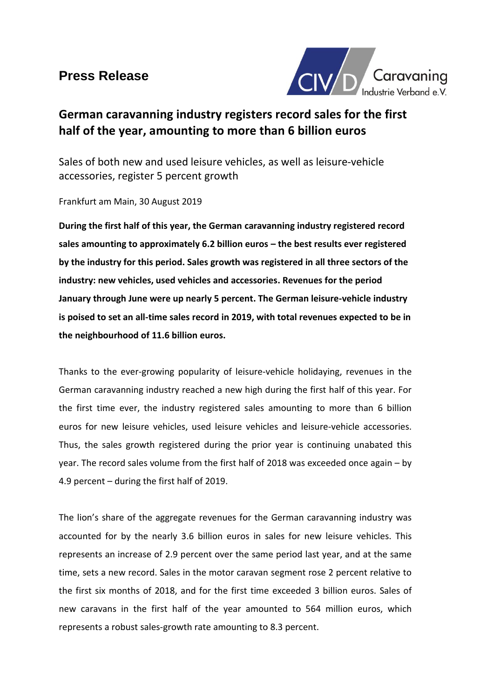# **Press Release**



# **German caravanning industry registers record sales for the first half of the year, amounting to more than 6 billion euros**

Sales of both new and used leisure vehicles, as well as leisure-vehicle accessories, register 5 percent growth

Frankfurt am Main, 30 August 2019

**During the first half of this year, the German caravanning industry registered record sales amounting to approximately 6.2 billion euros – the best results ever registered by the industry for this period. Sales growth was registered in all three sectors of the industry: new vehicles, used vehicles and accessories. Revenues for the period January through June were up nearly 5 percent. The German leisure-vehicle industry is poised to set an all-time sales record in 2019, with total revenues expected to be in the neighbourhood of 11.6 billion euros.** 

Thanks to the ever-growing popularity of leisure-vehicle holidaying, revenues in the German caravanning industry reached a new high during the first half of this year. For the first time ever, the industry registered sales amounting to more than 6 billion euros for new leisure vehicles, used leisure vehicles and leisure-vehicle accessories. Thus, the sales growth registered during the prior year is continuing unabated this year. The record sales volume from the first half of 2018 was exceeded once again – by 4.9 percent – during the first half of 2019.

The lion's share of the aggregate revenues for the German caravanning industry was accounted for by the nearly 3.6 billion euros in sales for new leisure vehicles. This represents an increase of 2.9 percent over the same period last year, and at the same time, sets a new record. Sales in the motor caravan segment rose 2 percent relative to the first six months of 2018, and for the first time exceeded 3 billion euros. Sales of new caravans in the first half of the year amounted to 564 million euros, which represents a robust sales-growth rate amounting to 8.3 percent.